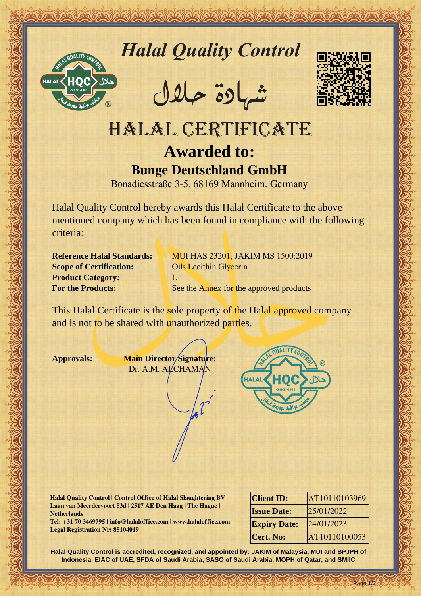

*Halal Quality Control*

REACTOR AND THE REAL PROPERTY OF THE REAL PROPERTY

�شهادة حالل



## Hallal Quality Control magnitude and Control magnitude and Control magnitude and Control magnitude (1993)<br>
HALAL CERTIFICATE<br>
Button describe 3.5.68169 Manheim Geometry<br>
Residence in the distribution of control magnitude w HALAL CERTIFICATE **Awarded to: Bunge Deutschland GmbH**

Bonadiesstraße 3-5, 68169 Mannheim, Germany

Halal Quality Control hereby awards this Halal Certificate to the above mentioned company which has been found in compliance with the following criteria:

**Scope of Certification:** Oils Lecithin Glycerin **Product Category:** L

**Reference Halal Standards: MUI HAS 23201, JAKIM MS 1500:2019 For the Products:** See the Annex for the approved products

This Halal Certificate is the sole property of the Halal approved company and is not to be shared with unauthorized parties.

**Approvals: Main Director Signature:** Dr. A.M. ALCHAMAN



**Halal Quality Control | Control Office of Halal Slaughtering BV Laan van Meerdervoort 53d | 2517 AE Den Haag | The Hague | Netherlands**

**Tel: +31 70 3469795 | info@halaloffice.com | www.halaloffice.com Legal Registration Nr: 85104019**

| <b>Client ID:</b>   | AT10110103969 |
|---------------------|---------------|
| <b>Issue Date:</b>  | 25/01/2022    |
| <b>Expiry Date:</b> | 24/01/2023    |
| Cert. No:           | AT10110100053 |

Page 1/2

**Halal Quality Control is accredited, recognized, and appointed by: JAKIM of Malaysia, MUI and BPJPH of Indonesia, EIAC of UAE, SFDA of Saudi Arabia, SASO of Saudi Arabia, MOPH of Qatar, and SMIIC**